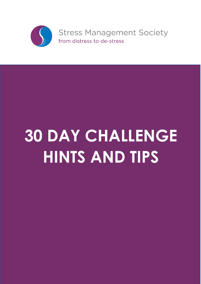

# **30 DAY CHALLENGE HINTS AND TIPS**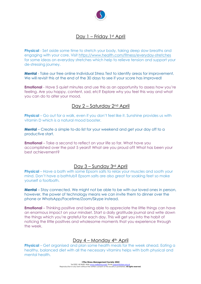

# Day 1 – Friday 1st April

**Physical** - Set aside some time to stretch your body, taking deep slow breaths and engaging with your core. Visit https://www.health.com/fitness/everyday-stretches for some ideas on everyday stretches which help to relieve tension and support your de-stressing journey.

**Mental** - Take our free online Individual Stress Test to identify areas for improvement. We will revisit this at the end of the 30 days to see if your score has improved!

**Emotional** - Have 5 quiet minutes and use this as an opportunity to assess how you're feeling. Are you happy, content, sad, etc? Explore why you feel this way and what you can do to alter your mood.

# Day 2 – Saturday 2nd April

**Physical** – Go out for a walk, even if you don't feel like it. Sunshine provides us with vitamin D which is a natural mood booster.

**Mental** – Create a simple to-do list for your weekend and get your day off to a productive start.

**Emotional** – Take a second to reflect on your life so far. What have you accomplished over the past 5 years? What are you proud of? What has been your best achievement?

#### Day 3 – Sunday 3rd April

**Physical** – Have a bath with some Epsom salts to relax your muscles and sooth your mind. Don't have a bathtub? Epsom salts are also great for soaking feet so make yourself a footbath.

**Mental** – Stay connected. We might not be able to be with our loved ones in person, however, the power of technology means we can invite them to dinner over the phone or WhatsApp/Facetime/Zoom/Skype instead.

**Emotional** – Thinking positive and being able to appreciate the little things can have an enormous impact on your mindset. Start a daily gratitude journal and write down the things which you're grateful for each day. This will get you into the habit of noticing the little positives and wholesome moments that you experience through the week.

## Day 4 – Monday 4th April

**Physical** – Get organised and plan some health meals for the week ahead. Eating a healthy, balanced diet with all the necessary vitamins helps with both physical and mental health.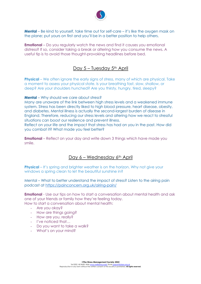

**Mental** – Be kind to yourself, take time out for self-care – it's like the oxygen mask on the plane; put yours on first and you'll be in a better position to help others.

**Emotional** – Do you regularly watch the news and find it causes you emotional distress? If so, consider taking a break or altering how you consume the news. A useful tip is to avoid those thought-provoking headlines before bed.

# Day 5 – Tuesday 5<sup>th</sup> April

**Physical** – We often ignore the early signs of stress, many of which are physical. Take a moment to assess your physical state. Is your breathing fast, slow, shallow, or deep? Are your shoulders hunched? Are you thirsty, hungry, tired, sleepy?

**Mental** – Why should we care about stress?

Many are unaware of the link between high stress levels and a weakened immune system. Stress has been directly liked to high blood pressure, heart disease, obesity, and diabetes. Mental illness is actually the second-largest burden of disease in England. Therefore, reducing our stress levels and altering how we react to stressful situations can boost our resilience and prevent illness.

Reflect on your life and the impact that stress has had on you in the past. How did you combat it? What made you feel better?

**Emotional** – Reflect on your day and write down 3 things which have made you smile.

#### Day 6 – Wednesday 6<sup>th</sup> April

**Physical** – It's spring and brighter weather is on the horizon. Why not give your windows a spring clean to let the beautiful sunshine in?

Mental – What to better understand the impact of stress? Listen to the airing pain podcast at https://painconcern.org.uk/airing-pain/

**Emotional** - Use our tips on how to start a conversation about mental health and ask one of your friends or family how they're feeling today. How to start a conversation about mental health:

- Are you okay?
- How are things going?
- How are you, really?
- I've noticed that…
- Do you want to take a walk?
- What's on your mind?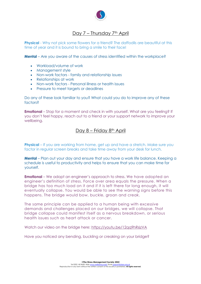

# Day 7 - Thursday 7<sup>th</sup> April

**Physical** - Why not pick some flowers for a friend? The daffodils are beautiful at this time of year and it is bound to bring a smile to their face!

**Mental** – Are you aware of the causes of stress identified within the workplace?

- Workload/volume of work
- Management style
- Non-work factors family and relationship issues
- Relationships at work
- Non-work factors Personal illness or health issues
- Pressure to meet targets or deadlines

Do any of these look familiar to you? What could you do to improve any of these factors?

**Emotional** – Stop for a moment and check in with yourself. What are you feeling? If you don't feel happy, reach out to a friend or your support network to improve your wellbeing.

#### Day 8 – Friday 8<sup>th</sup> April

**Physical** – If you are working from home, get up and have a stretch. Make sure you factor in regular screen breaks and take time away from your desk for lunch.

**Mental** – Plan out your day and ensure that you have a work life balance. Keeping a schedule is useful to productivity and helps to ensure that you can make time for yourself.

**Emotional** – We adopt an engineer's approach to stress. We have adopted an engineer's definition of stress. Force over area equals the pressure. When a bridge has too much load on it and if it is left there for long enough, it will eventually collapse. You would be able to see the warning signs before this happens. The bridge would bow, buckle, groan and creak.

The same principle can be applied to a human being with excessive demands and challenges placed on our bridges, we will collapse. That bridge collapse could manifest itself as a nervous breakdown, or serious health issues such as heart attack or cancer.

Watch our video on the bridge here: https://youtu.be/12qq9hR6zVA

Have you noticed any bending, buckling or creaking on your bridge?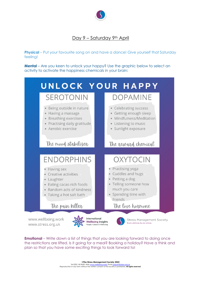

# Day 9 – Saturday 9th April

**Physical** – Put your favourite song on and have a dance! Give yourself that Saturday feeling!

**Mental** – Are you keen to unlock your happy? Use the graphic below to select an activity to activate the happiness chemicals in your brain:



**Emotional** – Write down a list of things that you are looking forward to doing once the restrictions are lifted. Is it going for a meal? Booking a holiday? Have a think and plan so that you have some exciting things to look forward to!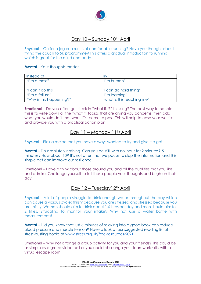

# Day 10 – Sunday 10<sup>th</sup> April

**Physical** – Go for a jog or a run! Not comfortable running? Have you thought about trying the couch to 5K programme? This offers a gradual introduction to running which is great for the mind and body.

#### **Mental** – Your thoughts matter!

| Instead of               | Irv                        |
|--------------------------|----------------------------|
| "I'm a mess"             | "I'm human"                |
|                          |                            |
| "I can't do this"        | "I can do hard thing"      |
| "I'm a failure"          | "I'm learning"             |
| "Why is this happening?" | "what is this teaching me" |

**Emotional** – Do you often get stuck in "what if..?" thinking? The best way to handle this is to write down all the 'what if' topics that are giving you concerns, then add what you would do if the 'what if's' come to pass. This will help to ease your worries and provide you with a practical action plan.

#### Day 11 – Monday 11<sup>th</sup> April

**Physical** – Pick a recipe that you have always wanted to try and give it a go!

**Mental** – Do absolutely nothing. Can you be still, with no input for 2 minutes? 5 minutes? How about 10? It's not often that we pause to stop the information and this simple act can improve our resilience.

**Emotional** – Have a think about those around you and all the qualities that you like and admire. Challenge yourself to tell those people your thoughts and brighten their day.

## Day 12 – Tuesdav12<sup>th</sup> April

**Physical** – A lot of people struggle to drink enough water throughout the day which can cause a vicious cycle: thirsty because you are stressed and stressed because you are thirsty. Woman should aim to drink about 1.6 litres per day and men should aim for 2 litres. Struggling to monitor your intake? Why not use a water bottle with measurements!

**Mental** – Did you know that just 6 minutes of relaxing into a good book can reduce blood pressure and muscle tension? Have a look at our suggested reading list of stress-busting books at www.stress.org.uk/free-resources-2021

**Emotional** – Why not arrange a group activity for you and your friends? This could be as simple as a group video call or you could challenge your teamwork skills with a virtual escape room!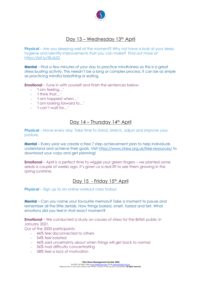

# Day 13 – Wednesday 13<sup>th</sup> April

**Physical** – Are you sleeping well at the moment? Why not have a look at your sleep hygiene and identify improvements that you can make? Find out more at https://bit.ly/3lLdLlG

**Mental** – Find a few minutes of your day to practice mindfulness as this is a great stress-busting activity. This needn't be a long or complex process; it can be as simple as practicing mindful breathing or eating.

**Emotional** – Tune in with yourself and finish the sentences below:

- 'I am feeling…'
- 'I think that…'
- 'I am happiest when…'
- 'I am looking forward to…'
- 'I can't wait for…'

#### Day 14 – Thursday 14<sup>th</sup> April

**Physical** – Move every day. Take time to stand, stretch, adjust and improve your posture.

**Mental** – Every year we create a free 7 step achievement plan to help individuals understand and achieve their goals. Visit https://www.stress.org.uk/free-resources/ to download your copy and get planning!

**Emotional** – April is a perfect time to wiggle your green fingers – we planted some seeds a couple of weeks ago, it's given us a real lift to see them growing in the spring sunshine.

#### Day 15 - Friday 15th April

**Physical** – Sign up to an online workout class today!

**Mental** – Can you name your favourite memory? Take a moment to pause and remember all the little details. How things looked, smelt, tasted and felt. What emotions did you feel in that exact moment?

**Emotional** – We conducted a study on causes of stress for the British public in January 2021.

Our of the 2000 participants:

- 46% feel disconnected to others
- 54% feel isolated
- 46% said uncertainty about when things will get back to normal
- 36% had difficulty concentrating
- 38% feel a lack of motivation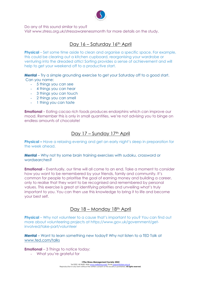

Do any of this sound similar to you?

Visit www.stress.org.uk/stressawarenessmonth for more details on the study.

# Day 16 – Saturday 16th April

**Physical** – Set some time aside to clean and organise a specific space. For example, this could be clearing out a kitchen cupboard, reorganising your wardrobe or venturing into the dreaded attic! Sorting provides a sense of achievement and will help to get your weekend off to a productive start.

**Mental** – Try a simple grounding exercise to get your Saturday off to a good start. Can you name:

- 5 things you can see
- 4 things you can hear
- 3 things you can touch
- 2 things you can smell
- 1 thing you can taste

**Emotional** – Eating cacao rich foods produces endorphins which can improve our mood. Remember this is only in small quantities, we're not advising you to binge on endless amounts of chocolate!

## Day 17 – Sunday 17th April

**Physical –** Have a relaxing evening and get an early night's sleep in preparation for the week ahead.

**Mental** – Why not try some brain training exercises with sudoku, crossword or wordsearches?

**Emotional** – Eventually, our time will all come to an end. Take a moment to consider how you want to be remembered by your friends, family and community. It's common for people to prioritise the goal of earning money and building a career, only to realise that they want to be recognised and remembered by personal values. This exercise is great at identifying priorities and unveiling what's truly important to you. You can then use this knowledge to bring it to life and become your best self.

## Day 18 – Monday 18<sup>th</sup> April

**Physical** – Why not volunteer to a cause that's important to you? You can find out more about volunteering projects at https://www.gov.uk/government/getinvolved/take-part/volunteer

**Mental** – Want to learn something new today? Why not listen to a TED Talk at www.ted.com/talks

**Emotional** – 3 Things to notice today:

- What you're grateful for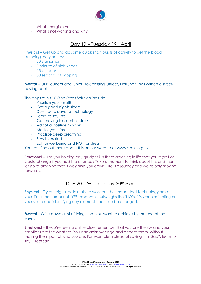

- What energises you
- What's not working and *why*

# Day 19 – Tuesday 19th April

**Physical** – Get up and do some quick short bursts of activity to get the blood pumping. Why not try:

- 30 star jumps
- 1 minute of high knees
- 15 burpees
- 30 seconds of skipping

**Mental** – Our Founder and Chief De-Stressing Officer, Neil Shah, has written a stressbusting book.

The steps of his 10-Step Stress Solution include:

- Prioritize your health
- Get a good nights sleep
- Don't be a slave to technology
- Learn to say 'no'
- Get moving to combat stress
- Adopt a positive mindset
- Master your time
- Practice deep breathing
- Stay hydrated
- Eat for wellbeing and NOT for stress

You can find out more about this on our website at www.stress.org.uk.

**Emotional** – Are you holding any grudges? Is there anything in life that you regret or would change if you had the chance? Take a moment to think about this and then let go of anything that is weighing you down. Life is a journey and we're only moving forwards.

#### Day 20 – Wednesday 20<sup>th</sup> April

**Physical** – Try our digital detox tally to work out the impact that technology has on your life. If the number of 'YES' responses outweighs the 'NO's, it's worth reflecting on your score and identifying any elements that can be changed.

**Mental** – Write down a list of things that you want to achieve by the end of the week.

**Emotional** – If you're feeling a little blue, remember that you are the sky and your emotions are the weather. You can acknowledge and accept them, without making them part of who you are. For example, instead of saying "I'm Sad", learn to say "I *feel* sad".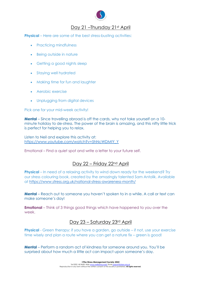

# Day 21 –Thursday 21st April

**Physical** – Here are some of the best stress-busting activities:

- Practicing mindfulness
- Being outside in nature
- Getting a good nights sleep
- Staying well hydrated
- Making time for fun and laughter
- Aerobic exercise
- Unplugging from digital devices

#### Pick one for your mid-week activity!

**Mental** – Since travelling abroad is off the cards, why not take yourself on a 10 minute holiday to de-stress. The power of the brain is amazing, and this nifty little trick is perfect for helping you to relax.

Listen to Neil and explore this activity at: https://www.youtube.com/watch?v=5hNcWDMtY\_Y

Emotional – Find a quiet spot and write a letter to your future self.

# Day 22 - Friday 22<sup>nd</sup> April

**Physical** – In need of a relaxing activity to wind down ready for the weekend? Try our stress colouring book, created by the amazingly talented Sam Antolik. Available at https://www.stress.org.uk/national-stress-awareness-month/

**Mental** – Reach out to someone you haven't spoken to in a while. A call or text can make someone's day!

**Emotional** – Think of 3 things good things which have happened to you over the week.

## Day 23 – Saturday 23rd April

**Physical** - Green therapy: if you have a garden, go outside – if not, use your exercise time wisely and plan a route where you can get a nature fix – green is good!

**Mental** – Perform a random act of kindness for someone around you. You'll be surprised about how much a little act can impact upon someone's day.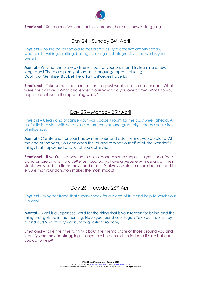

**Emotional** – Send a motivational text to someone that you know is struggling.

# Day 24 – Sunday 24th April

**Physical** – You're never too old to get creative! Try a creative activity today, whether it's writing, crafting, baking, cooking or photography – the worlds your oyster!

**Mental** – Why not stimulate a different part of your brain and try learning a new language? There are plenty of fantastic language apps including Duolingo, MemRise, Babbel, Hello Talk… iPuedes hacerlo!

**Emotional** – Take some time to reflect on the past week and the one ahead. What were the positives? What challenged you? What did you overcome? What do you hope to achieve in the upcoming week?

# Day 25 – Monday 25th April

**Physical** – Clean and organise your workspace / room for the busy week ahead. A useful tip is to start with what you see around you and gradually increase your circle of influence.

**Mental** – Create a jar for your happy memories and add them as you go along. At the end of the year, you can open the jar and remind yourself of all the wonderful things that happened and what you achieved.

**Emotional** – If you're in a position to do so, donate some supplies to your local food bank. Unsure of what to give? Most food banks have a website with details on their stock levels and the items they need most. It's always useful to check beforehand to ensure that your donation makes the most impact.

## Day 26 – Tuesday 26<sup>th</sup> April

**Physical** – Why not trade that sugary snack for a piece of fruit and help towards your 5 a day!

**Mental** – Ikigai is a Japanese word for the thing that is your reason for being and the thing that gets up in the morning. Have you found your Ikigai? Take our free survey to find out! Visit https://ikigaisurvey.questionpro.com/

**Emotional** – Take the time to think about the mental state of those around you and identify who may be struggling. Is anyone who comes to mind and if so, what can you do to help?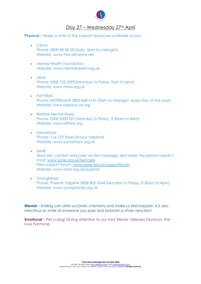

# Day 27 – Wednesday 27th April

**Physical** – Make a note of the support resources available to you:

- CALM Phone: 0800 58 58 58 (daily, 5pm to midnight) Website: www.thecalmzone.net
- Mental Health Foundation Website: www.mentalhealth.org.uk
- Mind Phone: 0300 123 3393 (Monday to Friday, 9am to 6pm) Website: www.mind.org.uk
- PAPYRUS Phone: HOPElineUK 0800 068 4141 (9am to midnight, every day of the year) Website: www.papyrus-uk.org
- Rethink Mental Illness Phone: 0300 5000 927 (Monday to Friday, 9.30am to 4pm) Website: www.rethink.org
- Samaritans Phone: 116 123 (free 24-hour helpline) Website: www.samaritans.org.uk
- SANE Textcare: comfort and care via text message, sent when the person needs it most: www.sane.org.uk/textcare Peer support forum: www.sane.org.uk/supportforum Website: www.sane.org.uk/support
- YoungMinds Phone: Parents' helpline 0808 802 5544 (Monday to Friday, 9.30am to 4pm) Website: www.youngminds.org.uk

**Mental** – Smiling can alter our brain chemistry and make us feel happier. It is also infectious so smile at someone you pass and kickstart a chain reaction!

**Emotional** – Pet a dog! Giving attention to our furry friends' releases Oxytocin, the love hormone.